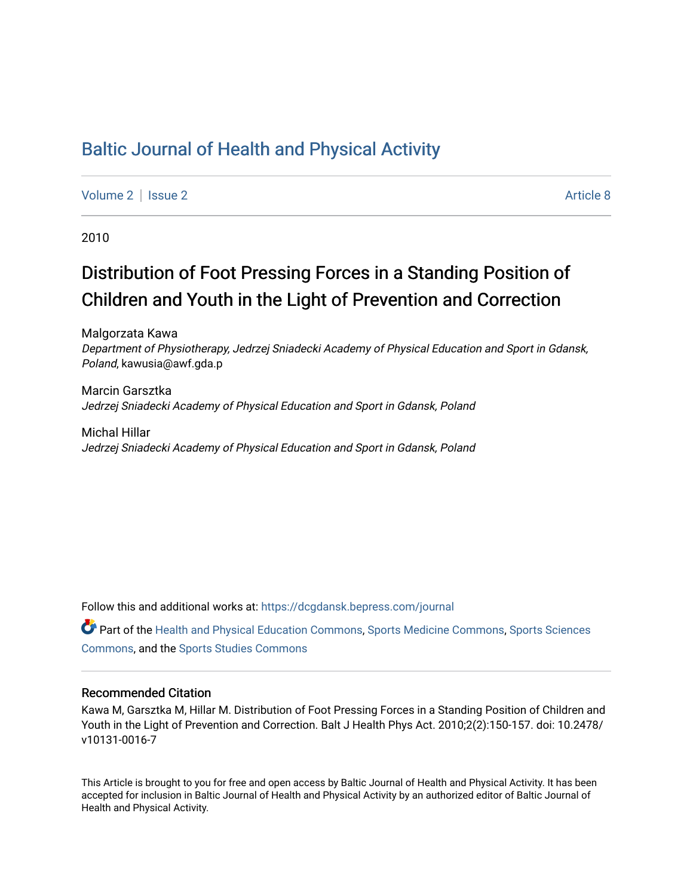# [Baltic Journal of Health and Physical Activity](https://dcgdansk.bepress.com/journal)

[Volume 2](https://dcgdansk.bepress.com/journal/vol2) | [Issue 2](https://dcgdansk.bepress.com/journal/vol2/iss2) Article 8

2010

# Distribution of Foot Pressing Forces in a Standing Position of Children and Youth in the Light of Prevention and Correction

Malgorzata Kawa Department of Physiotherapy, Jedrzej Sniadecki Academy of Physical Education and Sport in Gdansk, Poland, kawusia@awf.gda.p

Marcin Garsztka Jedrzej Sniadecki Academy of Physical Education and Sport in Gdansk, Poland

Michal Hillar Jedrzej Sniadecki Academy of Physical Education and Sport in Gdansk, Poland

Follow this and additional works at: [https://dcgdansk.bepress.com/journal](https://dcgdansk.bepress.com/journal?utm_source=dcgdansk.bepress.com%2Fjournal%2Fvol2%2Fiss2%2F8&utm_medium=PDF&utm_campaign=PDFCoverPages)

Part of the [Health and Physical Education Commons](http://network.bepress.com/hgg/discipline/1327?utm_source=dcgdansk.bepress.com%2Fjournal%2Fvol2%2Fiss2%2F8&utm_medium=PDF&utm_campaign=PDFCoverPages), [Sports Medicine Commons,](http://network.bepress.com/hgg/discipline/1331?utm_source=dcgdansk.bepress.com%2Fjournal%2Fvol2%2Fiss2%2F8&utm_medium=PDF&utm_campaign=PDFCoverPages) [Sports Sciences](http://network.bepress.com/hgg/discipline/759?utm_source=dcgdansk.bepress.com%2Fjournal%2Fvol2%2Fiss2%2F8&utm_medium=PDF&utm_campaign=PDFCoverPages) [Commons](http://network.bepress.com/hgg/discipline/759?utm_source=dcgdansk.bepress.com%2Fjournal%2Fvol2%2Fiss2%2F8&utm_medium=PDF&utm_campaign=PDFCoverPages), and the [Sports Studies Commons](http://network.bepress.com/hgg/discipline/1198?utm_source=dcgdansk.bepress.com%2Fjournal%2Fvol2%2Fiss2%2F8&utm_medium=PDF&utm_campaign=PDFCoverPages) 

#### Recommended Citation

Kawa M, Garsztka M, Hillar M. Distribution of Foot Pressing Forces in a Standing Position of Children and Youth in the Light of Prevention and Correction. Balt J Health Phys Act. 2010;2(2):150-157. doi: 10.2478/ v10131-0016-7

This Article is brought to you for free and open access by Baltic Journal of Health and Physical Activity. It has been accepted for inclusion in Baltic Journal of Health and Physical Activity by an authorized editor of Baltic Journal of Health and Physical Activity.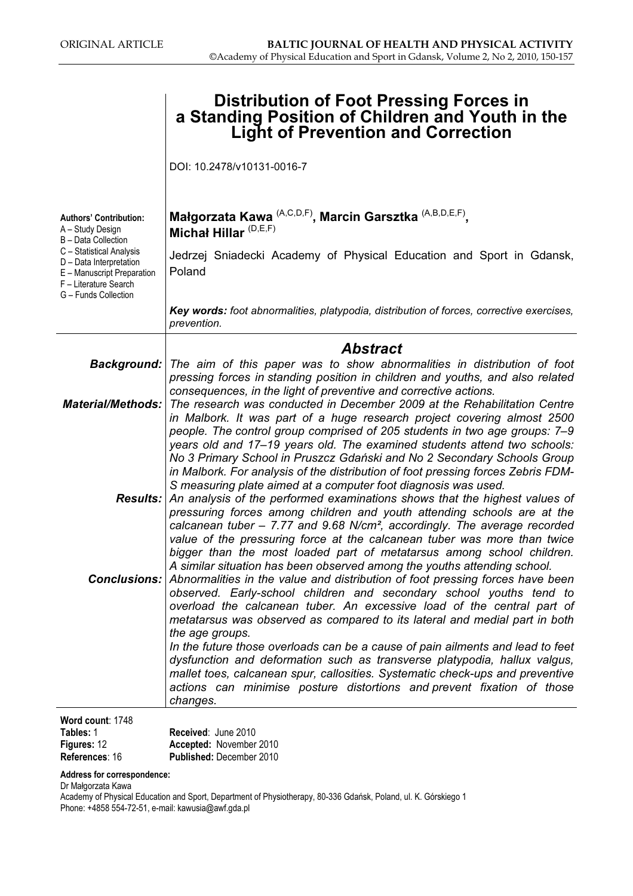|                                                                                                                                                                                                                | <b>Distribution of Foot Pressing Forces in</b><br>a Standing Position of Children and Youth in the<br><b>Light of Prevention and Correction</b>                                                                                                                                                                                                                                                                                                                                                                                                |  |  |  |
|----------------------------------------------------------------------------------------------------------------------------------------------------------------------------------------------------------------|------------------------------------------------------------------------------------------------------------------------------------------------------------------------------------------------------------------------------------------------------------------------------------------------------------------------------------------------------------------------------------------------------------------------------------------------------------------------------------------------------------------------------------------------|--|--|--|
|                                                                                                                                                                                                                | DOI: 10.2478/v10131-0016-7                                                                                                                                                                                                                                                                                                                                                                                                                                                                                                                     |  |  |  |
| <b>Authors' Contribution:</b><br>A - Study Design<br>B - Data Collection<br>C - Statistical Analysis<br>D - Data Interpretation<br>E - Manuscript Preparation<br>F - Literature Search<br>G - Funds Collection | Małgorzata Kawa <sup>(A,C,D,F)</sup> , Marcin Garsztka <sup>(A,B,D,E,F)</sup> ,<br>Michał Hillar <sup>(D,E,F)</sup>                                                                                                                                                                                                                                                                                                                                                                                                                            |  |  |  |
|                                                                                                                                                                                                                | Jedrzej Sniadecki Academy of Physical Education and Sport in Gdansk,<br>Poland                                                                                                                                                                                                                                                                                                                                                                                                                                                                 |  |  |  |
|                                                                                                                                                                                                                | Key words: foot abnormalities, platypodia, distribution of forces, corrective exercises,<br>prevention.                                                                                                                                                                                                                                                                                                                                                                                                                                        |  |  |  |
|                                                                                                                                                                                                                | <b>Abstract</b>                                                                                                                                                                                                                                                                                                                                                                                                                                                                                                                                |  |  |  |
|                                                                                                                                                                                                                | <b>Background:</b> The aim of this paper was to show abnormalities in distribution of foot<br>pressing forces in standing position in children and youths, and also related<br>consequences, in the light of preventive and corrective actions.                                                                                                                                                                                                                                                                                                |  |  |  |
| <b>Material/Methods:</b>                                                                                                                                                                                       | The research was conducted in December 2009 at the Rehabilitation Centre<br>in Malbork. It was part of a huge research project covering almost 2500<br>people. The control group comprised of 205 students in two age groups: 7-9<br>years old and 17–19 years old. The examined students attend two schools:<br>No 3 Primary School in Pruszcz Gdański and No 2 Secondary Schools Group<br>in Malbork. For analysis of the distribution of foot pressing forces Zebris FDM-<br>S measuring plate aimed at a computer foot diagnosis was used. |  |  |  |
|                                                                                                                                                                                                                | <b>Results:</b> An analysis of the performed examinations shows that the highest values of<br>pressuring forces among children and youth attending schools are at the<br>calcanean tuber $-7.77$ and 9.68 N/cm <sup>2</sup> , accordingly. The average recorded<br>value of the pressuring force at the calcanean tuber was more than twice<br>bigger than the most loaded part of metatarsus among school children.<br>A similar situation has been observed among the youths attending school.                                               |  |  |  |
|                                                                                                                                                                                                                | <b>Conclusions:</b> Abnormalities in the value and distribution of foot pressing forces have been<br>observed. Early-school children and secondary school youths tend to<br>overload the calcanean tuber. An excessive load of the central part of<br>metatarsus was observed as compared to its lateral and medial part in both<br>the age groups.                                                                                                                                                                                            |  |  |  |
|                                                                                                                                                                                                                | In the future those overloads can be a cause of pain ailments and lead to feet<br>dysfunction and deformation such as transverse platypodia, hallux valgus,<br>mallet toes, calcanean spur, callosities. Systematic check-ups and preventive<br>actions can minimise posture distortions and prevent fixation of those<br>changes.                                                                                                                                                                                                             |  |  |  |
| Word count: 1748                                                                                                                                                                                               |                                                                                                                                                                                                                                                                                                                                                                                                                                                                                                                                                |  |  |  |

| Tables: 1          | <b>Received: June 2010</b>      |
|--------------------|---------------------------------|
| <b>Figures: 12</b> | Accepted: November 2010         |
| References: 16     | <b>Published: December 2010</b> |

Address for correspondence:

Dr Małgorzata Kawa

Academy of Physical Education and Sport, Department of Physiotherapy, 80-336 Gdańsk, Poland, ul. K. Górskiego 1 Phone: +4858 554-72-51, e-mail: kawusia@awf.gda.pl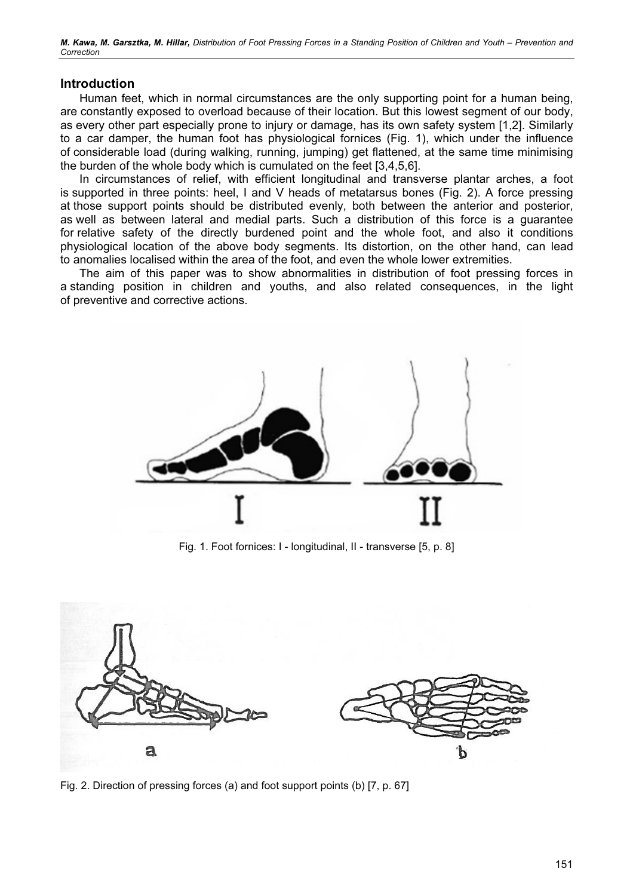M. Kawa, M. Garsztka, M. Hillar, Distribution of Foot Pressing Forces in a Standing Position of Children and Youth – Prevention and **Correction** 

### Introduction

Human feet, which in normal circumstances are the only supporting point for a human being, are constantly exposed to overload because of their location. But this lowest segment of our body, as every other part especially prone to injury or damage, has its own safety system [1,2]. Similarly to a car damper, the human foot has physiological fornices (Fig. 1), which under the influence of considerable load (during walking, running, jumping) get flattened, at the same time minimising the burden of the whole body which is cumulated on the feet [3,4,5,6].

In circumstances of relief, with efficient longitudinal and transverse plantar arches, a foot is supported in three points: heel, I and V heads of metatarsus bones (Fig. 2). A force pressing at those support points should be distributed evenly, both between the anterior and posterior, as well as between lateral and medial parts. Such a distribution of this force is a guarantee for relative safety of the directly burdened point and the whole foot, and also it conditions physiological location of the above body segments. Its distortion, on the other hand, can lead to anomalies localised within the area of the foot, and even the whole lower extremities.

The aim of this paper was to show abnormalities in distribution of foot pressing forces in a standing position in children and youths, and also related consequences, in the light of preventive and corrective actions.



Fig. 1. Foot fornices: I - longitudinal, II - transverse [5, p. 8]



Fig. 2. Direction of pressing forces (a) and foot support points (b) [7, p. 67]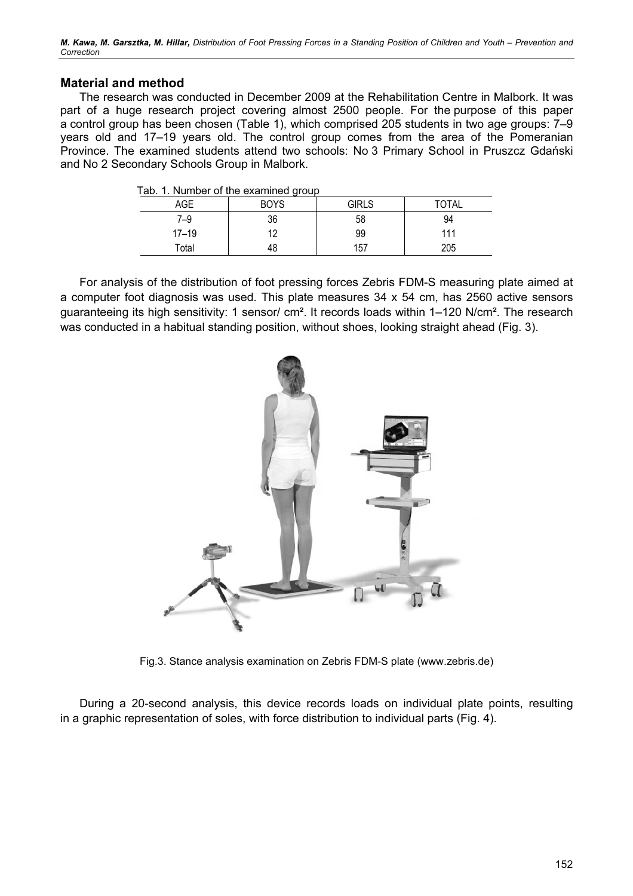M. Kawa, M. Garsztka, M. Hillar, Distribution of Foot Pressing Forces in a Standing Position of Children and Youth – Prevention and **Correction** 

# Material and method

The research was conducted in December 2009 at the Rehabilitation Centre in Malbork. It was part of a huge research project covering almost 2500 people. For the purpose of this paper a control group has been chosen (Table 1), which comprised 205 students in two age groups: 7–9 years old and 17–19 years old. The control group comes from the area of the Pomeranian Province. The examined students attend two schools: No 3 Primary School in Pruszcz Gdański and No 2 Secondary Schools Group in Malbork.

| ab. I. Namber of the examined group |             |              |       |  |  |
|-------------------------------------|-------------|--------------|-------|--|--|
| AGE                                 | <b>BOYS</b> | <b>GIRLS</b> | TOTAL |  |  |
| 7–9                                 | 36          | 58           | 94    |  |  |
| $17 - 19$                           | 12          | 99           | 111   |  |  |
| Total                               |             | 157          | 205   |  |  |

Tab. 1. Number of the examined group

For analysis of the distribution of foot pressing forces Zebris FDM-S measuring plate aimed at a computer foot diagnosis was used. This plate measures 34 x 54 cm, has 2560 active sensors guaranteeing its high sensitivity: 1 sensor/ cm². It records loads within 1–120 N/cm². The research was conducted in a habitual standing position, without shoes, looking straight ahead (Fig. 3).



Fig.3. Stance analysis examination on Zebris FDM-S plate (www.zebris.de)

During a 20-second analysis, this device records loads on individual plate points, resulting in a graphic representation of soles, with force distribution to individual parts (Fig. 4).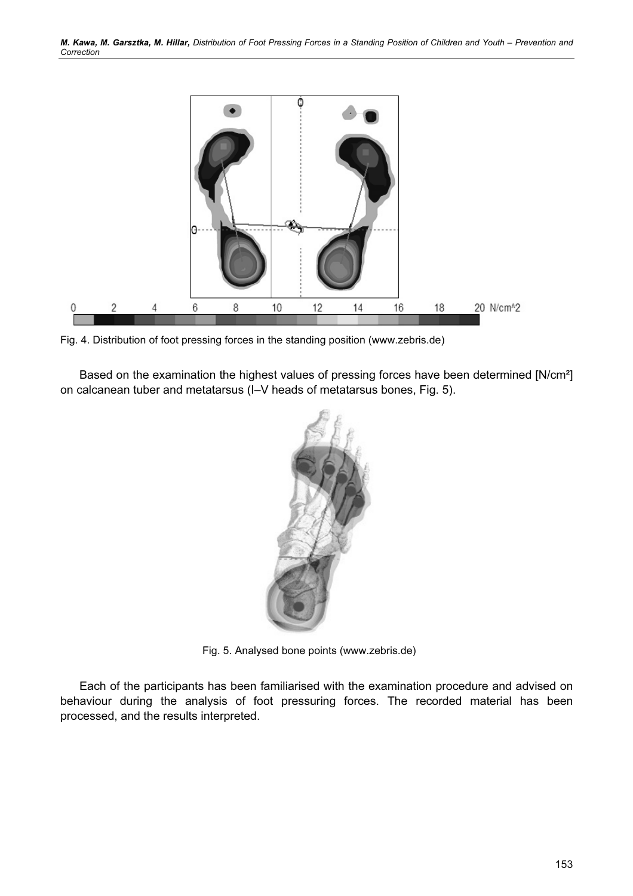

Fig. 4. Distribution of foot pressing forces in the standing position (www.zebris.de)

Based on the examination the highest values of pressing forces have been determined [N/cm²] on calcanean tuber and metatarsus (I–V heads of metatarsus bones, Fig. 5).



Fig. 5. Analysed bone points (www.zebris.de)

Each of the participants has been familiarised with the examination procedure and advised on behaviour during the analysis of foot pressuring forces. The recorded material has been processed, and the results interpreted.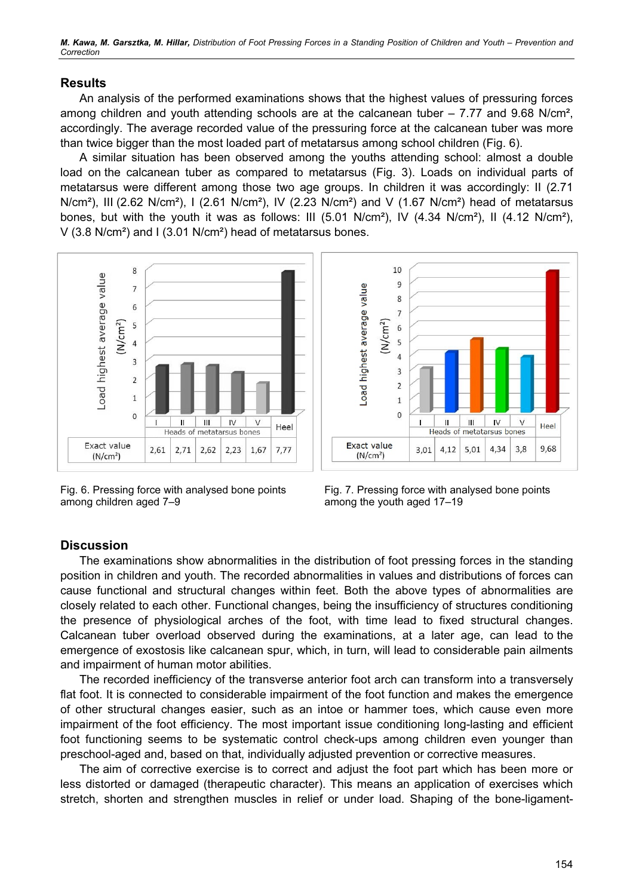M. Kawa, M. Garsztka, M. Hillar, Distribution of Foot Pressing Forces in a Standing Position of Children and Youth – Prevention and **Correction** 

# Results

An analysis of the performed examinations shows that the highest values of pressuring forces among children and youth attending schools are at the calcanean tuber – 7.77 and 9.68 N/cm², accordingly. The average recorded value of the pressuring force at the calcanean tuber was more than twice bigger than the most loaded part of metatarsus among school children (Fig. 6).

A similar situation has been observed among the youths attending school: almost a double load on the calcanean tuber as compared to metatarsus (Fig. 3). Loads on individual parts of metatarsus were different among those two age groups. In children it was accordingly: II (2.71 N/cm²), III (2.62 N/cm²), I (2.61 N/cm²), IV (2.23 N/cm²) and V (1.67 N/cm²) head of metatarsus bones, but with the youth it was as follows: III (5.01 N/cm²), IV (4.34 N/cm²), II (4.12 N/cm²), V (3.8 N/cm²) and I (3.01 N/cm²) head of metatarsus bones.



Fig. 6. Pressing force with analysed bone points among children aged 7–9



Fig. 7. Pressing force with analysed bone points among the youth aged 17–19

### **Discussion**

The examinations show abnormalities in the distribution of foot pressing forces in the standing position in children and youth. The recorded abnormalities in values and distributions of forces can cause functional and structural changes within feet. Both the above types of abnormalities are closely related to each other. Functional changes, being the insufficiency of structures conditioning the presence of physiological arches of the foot, with time lead to fixed structural changes. Calcanean tuber overload observed during the examinations, at a later age, can lead to the emergence of exostosis like calcanean spur, which, in turn, will lead to considerable pain ailments and impairment of human motor abilities.

The recorded inefficiency of the transverse anterior foot arch can transform into a transversely flat foot. It is connected to considerable impairment of the foot function and makes the emergence of other structural changes easier, such as an intoe or hammer toes, which cause even more impairment of the foot efficiency. The most important issue conditioning long-lasting and efficient foot functioning seems to be systematic control check-ups among children even younger than preschool-aged and, based on that, individually adjusted prevention or corrective measures.

The aim of corrective exercise is to correct and adjust the foot part which has been more or less distorted or damaged (therapeutic character). This means an application of exercises which stretch, shorten and strengthen muscles in relief or under load. Shaping of the bone-ligament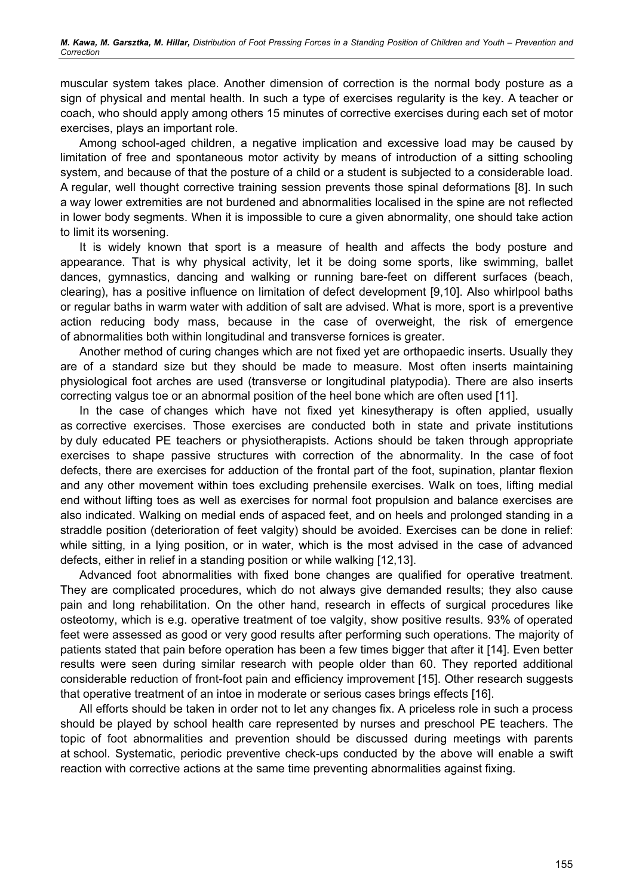muscular system takes place. Another dimension of correction is the normal body posture as a sign of physical and mental health. In such a type of exercises regularity is the key. A teacher or coach, who should apply among others 15 minutes of corrective exercises during each set of motor exercises, plays an important role.

Among school-aged children, a negative implication and excessive load may be caused by limitation of free and spontaneous motor activity by means of introduction of a sitting schooling system, and because of that the posture of a child or a student is subjected to a considerable load. A regular, well thought corrective training session prevents those spinal deformations [8]. In such a way lower extremities are not burdened and abnormalities localised in the spine are not reflected in lower body segments. When it is impossible to cure a given abnormality, one should take action to limit its worsening.

It is widely known that sport is a measure of health and affects the body posture and appearance. That is why physical activity, let it be doing some sports, like swimming, ballet dances, gymnastics, dancing and walking or running bare-feet on different surfaces (beach, clearing), has a positive influence on limitation of defect development [9,10]. Also whirlpool baths or regular baths in warm water with addition of salt are advised. What is more, sport is a preventive action reducing body mass, because in the case of overweight, the risk of emergence of abnormalities both within longitudinal and transverse fornices is greater.

Another method of curing changes which are not fixed yet are orthopaedic inserts. Usually they are of a standard size but they should be made to measure. Most often inserts maintaining physiological foot arches are used (transverse or longitudinal platypodia). There are also inserts correcting valgus toe or an abnormal position of the heel bone which are often used [11].

In the case of changes which have not fixed yet kinesytherapy is often applied, usually as corrective exercises. Those exercises are conducted both in state and private institutions by duly educated PE teachers or physiotherapists. Actions should be taken through appropriate exercises to shape passive structures with correction of the abnormality. In the case of foot defects, there are exercises for adduction of the frontal part of the foot, supination, plantar flexion and any other movement within toes excluding prehensile exercises. Walk on toes, lifting medial end without lifting toes as well as exercises for normal foot propulsion and balance exercises are also indicated. Walking on medial ends of aspaced feet, and on heels and prolonged standing in a straddle position (deterioration of feet valgity) should be avoided. Exercises can be done in relief: while sitting, in a lying position, or in water, which is the most advised in the case of advanced defects, either in relief in a standing position or while walking [12,13].

Advanced foot abnormalities with fixed bone changes are qualified for operative treatment. They are complicated procedures, which do not always give demanded results; they also cause pain and long rehabilitation. On the other hand, research in effects of surgical procedures like osteotomy, which is e.g. operative treatment of toe valgity, show positive results. 93% of operated feet were assessed as good or very good results after performing such operations. The majority of patients stated that pain before operation has been a few times bigger that after it [14]. Even better results were seen during similar research with people older than 60. They reported additional considerable reduction of front-foot pain and efficiency improvement [15]. Other research suggests that operative treatment of an intoe in moderate or serious cases brings effects [16].

All efforts should be taken in order not to let any changes fix. A priceless role in such a process should be played by school health care represented by nurses and preschool PE teachers. The topic of foot abnormalities and prevention should be discussed during meetings with parents at school. Systematic, periodic preventive check-ups conducted by the above will enable a swift reaction with corrective actions at the same time preventing abnormalities against fixing.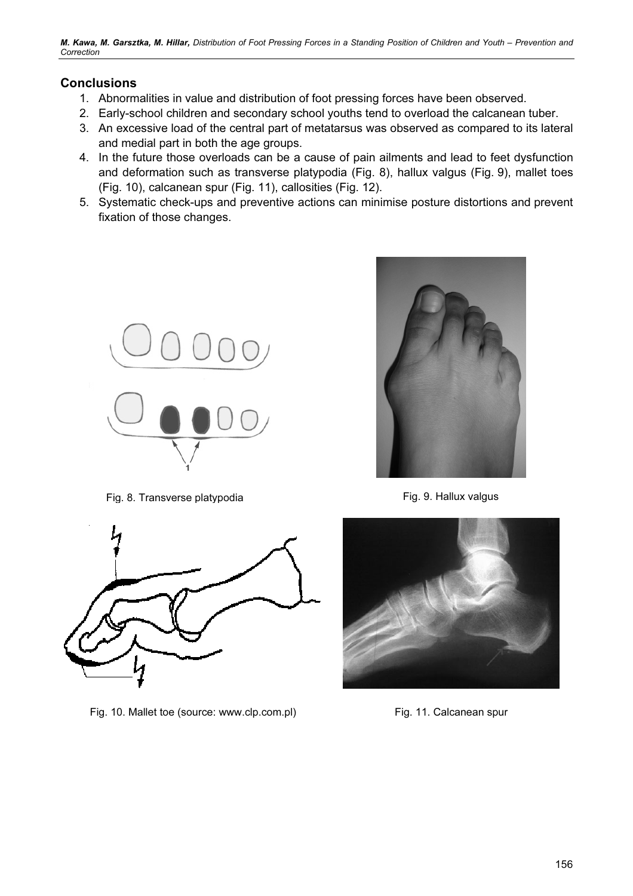M. Kawa, M. Garsztka, M. Hillar, Distribution of Foot Pressing Forces in a Standing Position of Children and Youth – Prevention and **Correction** 

# **Conclusions**

- 1. Abnormalities in value and distribution of foot pressing forces have been observed.
- 2. Early-school children and secondary school youths tend to overload the calcanean tuber.
- 3. An excessive load of the central part of metatarsus was observed as compared to its lateral and medial part in both the age groups.
- 4. In the future those overloads can be a cause of pain ailments and lead to feet dysfunction and deformation such as transverse platypodia (Fig. 8), hallux valgus (Fig. 9), mallet toes (Fig. 10), calcanean spur (Fig. 11), callosities (Fig. 12).
- 5. Systematic check-ups and preventive actions can minimise posture distortions and prevent fixation of those changes.



Fig. 8. Transverse platypodia entitled and the Fig. 9. Hallux valgus



Fig. 10. Mallet toe (source: www.clp.com.pl) Fig. 11. Calcanean spur